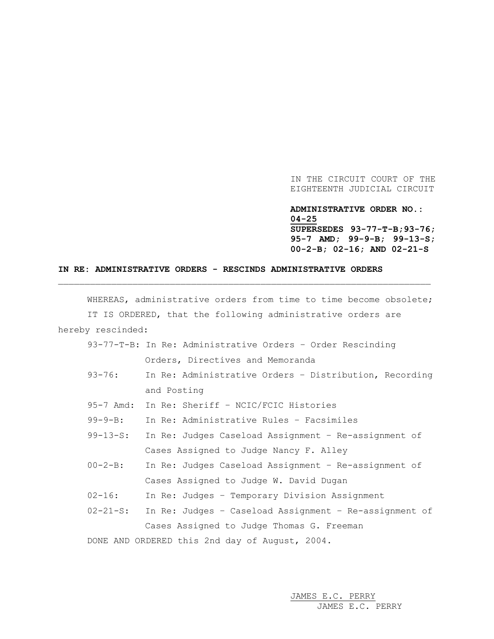IN THE CIRCUIT COURT OF THE EIGHTEENTH JUDICIAL CIRCUIT

## **ADMINISTRATIVE ORDER NO.: 04-25**

**SUPERSEDES 93-77-T-B;93-76; 95-7 AMD; 99-9-B; 99-13-S; 00-2-B; 02-16; AND 02-21-S**

## **IN RE: ADMINISTRATIVE ORDERS - RESCINDS ADMINISTRATIVE ORDERS**

WHEREAS, administrative orders from time to time become obsolete; IT IS ORDERED, that the following administrative orders are hereby rescinded: 93-77-T-B: In Re: Administrative Orders – Order Rescinding

\_\_\_\_\_\_\_\_\_\_\_\_\_\_\_\_\_\_\_\_\_\_\_\_\_\_\_\_\_\_\_\_\_\_\_\_\_\_\_\_\_\_\_\_\_\_\_\_\_\_\_\_\_\_\_\_\_\_\_\_\_\_\_\_\_\_\_\_\_\_

|  | 13-77-1-B: In Re: Administrative Orders - Order Rescinding |  |  |  |
|--|------------------------------------------------------------|--|--|--|
|  | Orders, Directives and Memoranda                           |  |  |  |

- 93-76: In Re: Administrative Orders Distribution, Recording and Posting
- 95-7 Amd: In Re: Sheriff NCIC/FCIC Histories

99-9-B: In Re: Administrative Rules – Facsimiles

- 99-13-S: In Re: Judges Caseload Assignment Re-assignment of Cases Assigned to Judge Nancy F. Alley
- 00-2-B: In Re: Judges Caseload Assignment Re-assignment of Cases Assigned to Judge W. David Dugan
- 02-16: In Re: Judges Temporary Division Assignment
- 02-21-S: In Re: Judges Caseload Assignment Re-assignment of Cases Assigned to Judge Thomas G. Freeman

DONE AND ORDERED this 2nd day of August, 2004.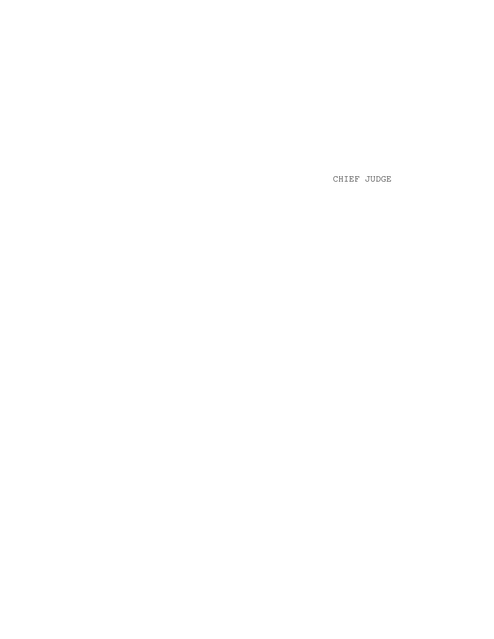CHIEF JUDGE